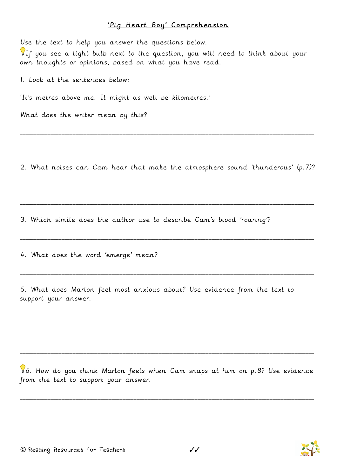## 'Pig Heart Boy' Comprehension

Use the text to help you answer the questions below. If you see a light bulb next to the question, you will need to think about your own thoughts or opinions, based on what you have read. 1. Look at the sentences below: 'It's metres above me. It might as well be kilometres.' What does the writer mean by this? \_\_\_\_\_\_\_\_\_\_\_\_\_\_\_\_\_\_\_\_\_\_\_\_\_\_\_\_\_\_\_\_\_\_\_\_\_\_\_\_\_\_\_\_\_\_\_\_\_\_\_\_\_\_\_\_\_\_\_\_\_\_\_\_\_\_\_\_\_\_\_\_\_\_\_\_\_\_\_\_\_\_\_\_\_\_\_\_\_\_\_\_\_\_\_\_\_\_\_\_\_\_\_\_\_\_ \_\_\_\_\_\_\_\_\_\_\_\_\_\_\_\_\_\_\_\_\_\_\_\_\_\_\_\_\_\_\_\_\_\_\_\_\_\_\_\_\_\_\_\_\_\_\_\_\_\_\_\_\_\_\_\_\_\_\_\_\_\_\_\_\_\_\_\_\_\_\_\_\_\_\_\_\_\_\_\_\_\_\_\_\_\_\_\_\_\_\_\_\_\_\_\_\_\_\_\_\_\_\_\_\_\_

2. What noises can Cam hear that make the atmosphere sound 'thunderous' (p.7)?

\_\_\_\_\_\_\_\_\_\_\_\_\_\_\_\_\_\_\_\_\_\_\_\_\_\_\_\_\_\_\_\_\_\_\_\_\_\_\_\_\_\_\_\_\_\_\_\_\_\_\_\_\_\_\_\_\_\_\_\_\_\_\_\_\_\_\_\_\_\_\_\_\_\_\_\_\_\_\_\_\_\_\_\_\_\_\_\_\_\_\_\_\_\_\_\_\_\_\_\_\_\_\_\_\_\_

\_\_\_\_\_\_\_\_\_\_\_\_\_\_\_\_\_\_\_\_\_\_\_\_\_\_\_\_\_\_\_\_\_\_\_\_\_\_\_\_\_\_\_\_\_\_\_\_\_\_\_\_\_\_\_\_\_\_\_\_\_\_\_\_\_\_\_\_\_\_\_\_\_\_\_\_\_\_\_\_\_\_\_\_\_\_\_\_\_\_\_\_\_\_\_\_\_\_\_\_\_\_\_\_\_\_

\_\_\_\_\_\_\_\_\_\_\_\_\_\_\_\_\_\_\_\_\_\_\_\_\_\_\_\_\_\_\_\_\_\_\_\_\_\_\_\_\_\_\_\_\_\_\_\_\_\_\_\_\_\_\_\_\_\_\_\_\_\_\_\_\_\_\_\_\_\_\_\_\_\_\_\_\_\_\_\_\_\_\_\_\_\_\_\_\_\_\_\_\_\_\_\_\_\_\_\_\_\_\_\_\_\_

\_\_\_\_\_\_\_\_\_\_\_\_\_\_\_\_\_\_\_\_\_\_\_\_\_\_\_\_\_\_\_\_\_\_\_\_\_\_\_\_\_\_\_\_\_\_\_\_\_\_\_\_\_\_\_\_\_\_\_\_\_\_\_\_\_\_\_\_\_\_\_\_\_\_\_\_\_\_\_\_\_\_\_\_\_\_\_\_\_\_\_\_\_\_\_\_\_\_\_\_\_\_\_\_\_\_

\_\_\_\_\_\_\_\_\_\_\_\_\_\_\_\_\_\_\_\_\_\_\_\_\_\_\_\_\_\_\_\_\_\_\_\_\_\_\_\_\_\_\_\_\_\_\_\_\_\_\_\_\_\_\_\_\_\_\_\_\_\_\_\_\_\_\_\_\_\_\_\_\_\_\_\_\_\_\_\_\_\_\_\_\_\_\_\_\_\_\_\_\_\_\_\_\_\_\_\_\_\_\_\_\_\_

\_\_\_\_\_\_\_\_\_\_\_\_\_\_\_\_\_\_\_\_\_\_\_\_\_\_\_\_\_\_\_\_\_\_\_\_\_\_\_\_\_\_\_\_\_\_\_\_\_\_\_\_\_\_\_\_\_\_\_\_\_\_\_\_\_\_\_\_\_\_\_\_\_\_\_\_\_\_\_\_\_\_\_\_\_\_\_\_\_\_\_\_\_\_\_\_\_\_\_\_\_\_\_\_\_\_

\_\_\_\_\_\_\_\_\_\_\_\_\_\_\_\_\_\_\_\_\_\_\_\_\_\_\_\_\_\_\_\_\_\_\_\_\_\_\_\_\_\_\_\_\_\_\_\_\_\_\_\_\_\_\_\_\_\_\_\_\_\_\_\_\_\_\_\_\_\_\_\_\_\_\_\_\_\_\_\_\_\_\_\_\_\_\_\_\_\_\_\_\_\_\_\_\_\_\_\_\_\_\_\_\_\_

3. Which simile does the author use to describe Cam's blood 'roaring'?

4. What does the word 'emerge' mean?

5. What does Marlon feel most anxious about? Use evidence from the text to support your answer.

6. How do you think Marlon feels when Cam snaps at him on p.8? Use evidence from the text to support your answer.

\_\_\_\_\_\_\_\_\_\_\_\_\_\_\_\_\_\_\_\_\_\_\_\_\_\_\_\_\_\_\_\_\_\_\_\_\_\_\_\_\_\_\_\_\_\_\_\_\_\_\_\_\_\_\_\_\_\_\_\_\_\_\_\_\_\_\_\_\_\_\_\_\_\_\_\_\_\_\_\_\_\_\_\_\_\_\_\_\_\_\_\_\_\_\_\_\_\_\_\_\_\_\_\_\_\_

\_\_\_\_\_\_\_\_\_\_\_\_\_\_\_\_\_\_\_\_\_\_\_\_\_\_\_\_\_\_\_\_\_\_\_\_\_\_\_\_\_\_\_\_\_\_\_\_\_\_\_\_\_\_\_\_\_\_\_\_\_\_\_\_\_\_\_\_\_\_\_\_\_\_\_\_\_\_\_\_\_\_\_\_\_\_\_\_\_\_\_\_\_\_\_\_\_\_\_\_\_\_\_\_\_\_